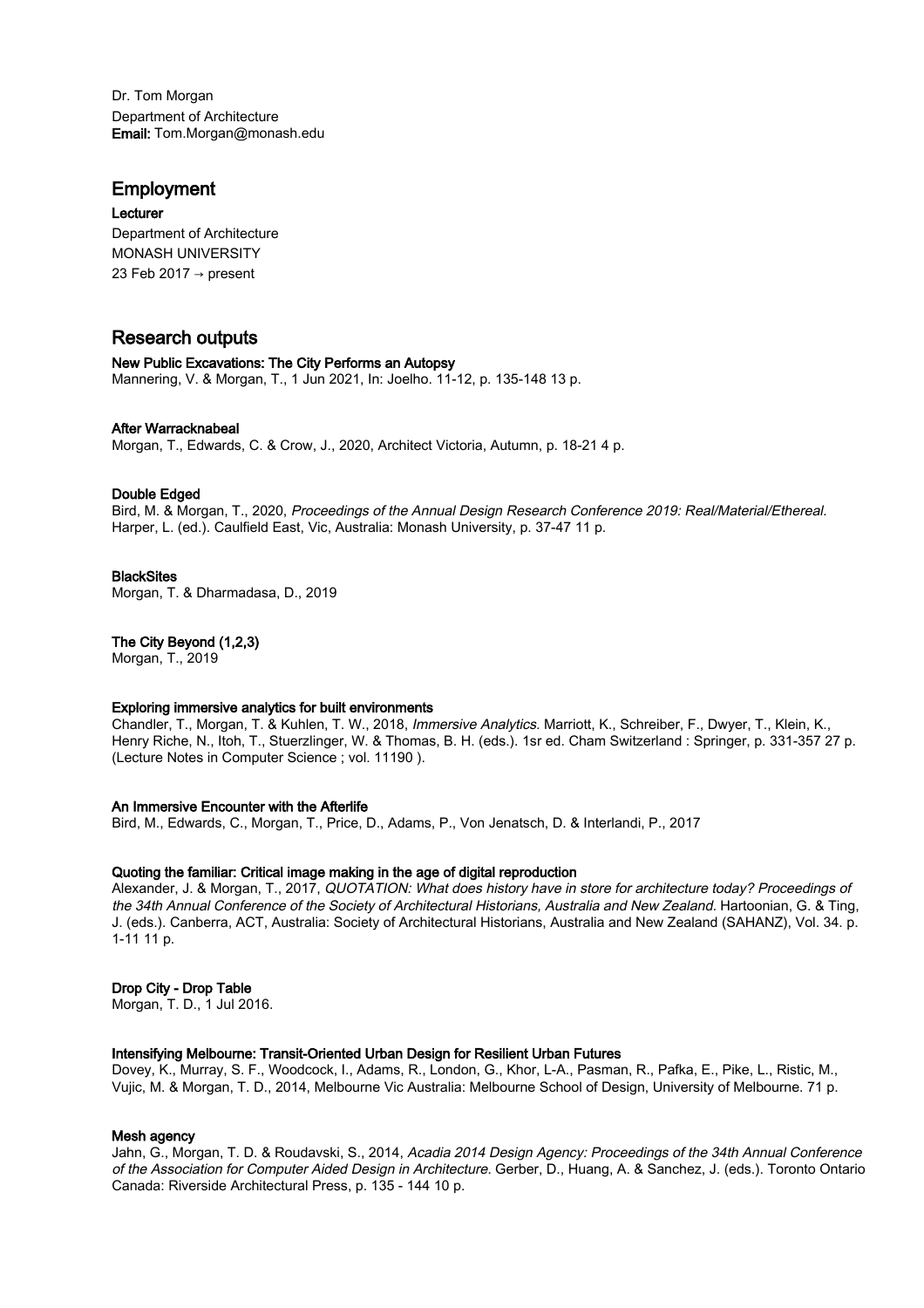Dr. Tom Morgan Department of Architecture Email: Tom.Morgan@monash.edu

# Employment

Lecturer Department of Architecture MONASH UNIVERSITY 23 Feb 2017 → present

# Research outputs

# New Public Excavations: The City Performs an Autopsy Mannering, V. & Morgan, T., 1 Jun 2021, In: Joelho. 11-12, p. 135-148 13 p.

# After Warracknabeal

Morgan, T., Edwards, C. & Crow, J., 2020, Architect Victoria, Autumn, p. 18-21 4 p.

# Double Edged

Bird, M. & Morgan, T., 2020, Proceedings of the Annual Design Research Conference 2019: Real/Material/Ethereal. Harper, L. (ed.). Caulfield East, Vic, Australia: Monash University, p. 37-47 11 p.

# **BlackSites**

Morgan, T. & Dharmadasa, D., 2019

# The City Beyond (1,2,3)

Morgan, T., 2019

## Exploring immersive analytics for built environments

Chandler, T., Morgan, T. & Kuhlen, T. W., 2018, Immersive Analytics. Marriott, K., Schreiber, F., Dwyer, T., Klein, K., Henry Riche, N., Itoh, T., Stuerzlinger, W. & Thomas, B. H. (eds.). 1sr ed. Cham Switzerland : Springer, p. 331-357 27 p. (Lecture Notes in Computer Science ; vol. 11190 ).

# An Immersive Encounter with the Afterlife

Bird, M., Edwards, C., Morgan, T., Price, D., Adams, P., Von Jenatsch, D. & Interlandi, P., 2017

# Quoting the familiar: Critical image making in the age of digital reproduction

Alexander, J. & Morgan, T., 2017, QUOTATION: What does history have in store for architecture today? Proceedings of the 34th Annual Conference of the Society of Architectural Historians, Australia and New Zealand. Hartoonian, G. & Ting, J. (eds.). Canberra, ACT, Australia: Society of Architectural Historians, Australia and New Zealand (SAHANZ), Vol. 34. p. 1-11 11 p.

## Drop City - Drop Table

Morgan, T. D., 1 Jul 2016.

## Intensifying Melbourne: Transit-Oriented Urban Design for Resilient Urban Futures

Dovey, K., Murray, S. F., Woodcock, I., Adams, R., London, G., Khor, L-A., Pasman, R., Pafka, E., Pike, L., Ristic, M., Vujic, M. & Morgan, T. D., 2014, Melbourne Vic Australia: Melbourne School of Design, University of Melbourne. 71 p.

## Mesh agency

Jahn, G., Morgan, T. D. & Roudavski, S., 2014, Acadia 2014 Design Agency: Proceedings of the 34th Annual Conference of the Association for Computer Aided Design in Architecture. Gerber, D., Huang, A. & Sanchez, J. (eds.). Toronto Ontario Canada: Riverside Architectural Press, p. 135 - 144 10 p.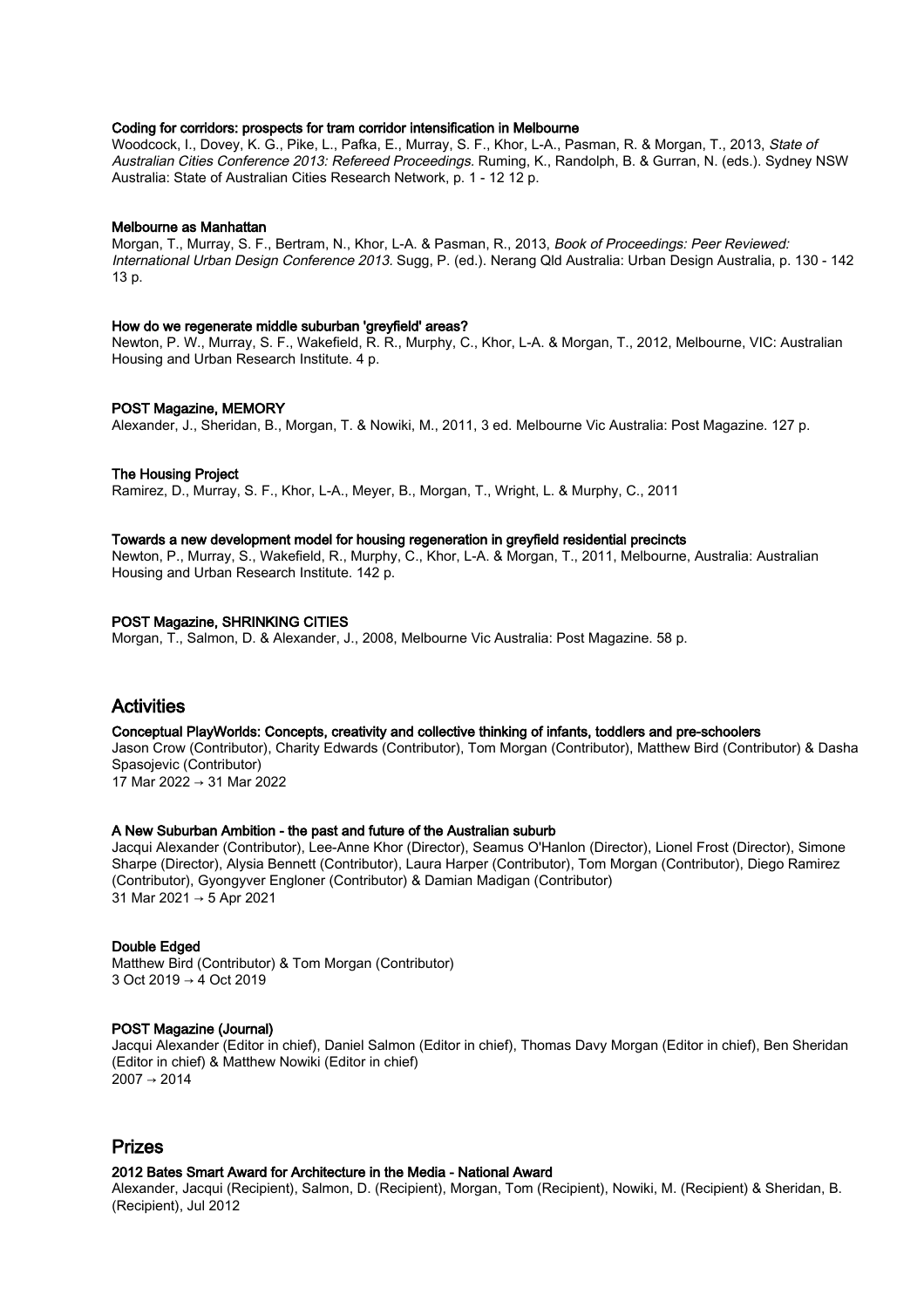#### Coding for corridors: prospects for tram corridor intensification in Melbourne

Woodcock, I., Dovey, K. G., Pike, L., Pafka, E., Murray, S. F., Khor, L-A., Pasman, R. & Morgan, T., 2013, State of Australian Cities Conference 2013: Refereed Proceedings. Ruming, K., Randolph, B. & Gurran, N. (eds.). Sydney NSW Australia: State of Australian Cities Research Network, p. 1 - 12 12 p.

#### Melbourne as Manhattan

Morgan, T., Murray, S. F., Bertram, N., Khor, L-A. & Pasman, R., 2013, Book of Proceedings: Peer Reviewed: International Urban Design Conference 2013. Sugg, P. (ed.). Nerang Qld Australia: Urban Design Australia, p. 130 - 142 13 p.

#### How do we regenerate middle suburban 'greyfield' areas?

Newton, P. W., Murray, S. F., Wakefield, R. R., Murphy, C., Khor, L-A. & Morgan, T., 2012, Melbourne, VIC: Australian Housing and Urban Research Institute. 4 p.

#### POST Magazine, MEMORY

Alexander, J., Sheridan, B., Morgan, T. & Nowiki, M., 2011, 3 ed. Melbourne Vic Australia: Post Magazine. 127 p.

#### The Housing Project

Ramirez, D., Murray, S. F., Khor, L-A., Meyer, B., Morgan, T., Wright, L. & Murphy, C., 2011

#### Towards a new development model for housing regeneration in greyfield residential precincts

Newton, P., Murray, S., Wakefield, R., Murphy, C., Khor, L-A. & Morgan, T., 2011, Melbourne, Australia: Australian Housing and Urban Research Institute. 142 p.

#### POST Magazine, SHRINKING CITIES

Morgan, T., Salmon, D. & Alexander, J., 2008, Melbourne Vic Australia: Post Magazine. 58 p.

# Activities

#### Conceptual PlayWorlds: Concepts, creativity and collective thinking of infants, toddlers and pre-schoolers

Jason Crow (Contributor), Charity Edwards (Contributor), Tom Morgan (Contributor), Matthew Bird (Contributor) & Dasha Spasojevic (Contributor)

17 Mar 2022 → 31 Mar 2022

## A New Suburban Ambition - the past and future of the Australian suburb

Jacqui Alexander (Contributor), Lee-Anne Khor (Director), Seamus O'Hanlon (Director), Lionel Frost (Director), Simone Sharpe (Director), Alysia Bennett (Contributor), Laura Harper (Contributor), Tom Morgan (Contributor), Diego Ramirez (Contributor), Gyongyver Engloner (Contributor) & Damian Madigan (Contributor) 31 Mar 2021 → 5 Apr 2021

## Double Edged

Matthew Bird (Contributor) & Tom Morgan (Contributor) 3 Oct 2019 → 4 Oct 2019

# POST Magazine (Journal)

Jacqui Alexander (Editor in chief), Daniel Salmon (Editor in chief), Thomas Davy Morgan (Editor in chief), Ben Sheridan (Editor in chief) & Matthew Nowiki (Editor in chief)  $2007 \rightarrow 2014$ 

# Prizes

## 2012 Bates Smart Award for Architecture in the Media - National Award

Alexander, Jacqui (Recipient), Salmon, D. (Recipient), Morgan, Tom (Recipient), Nowiki, M. (Recipient) & Sheridan, B. (Recipient), Jul 2012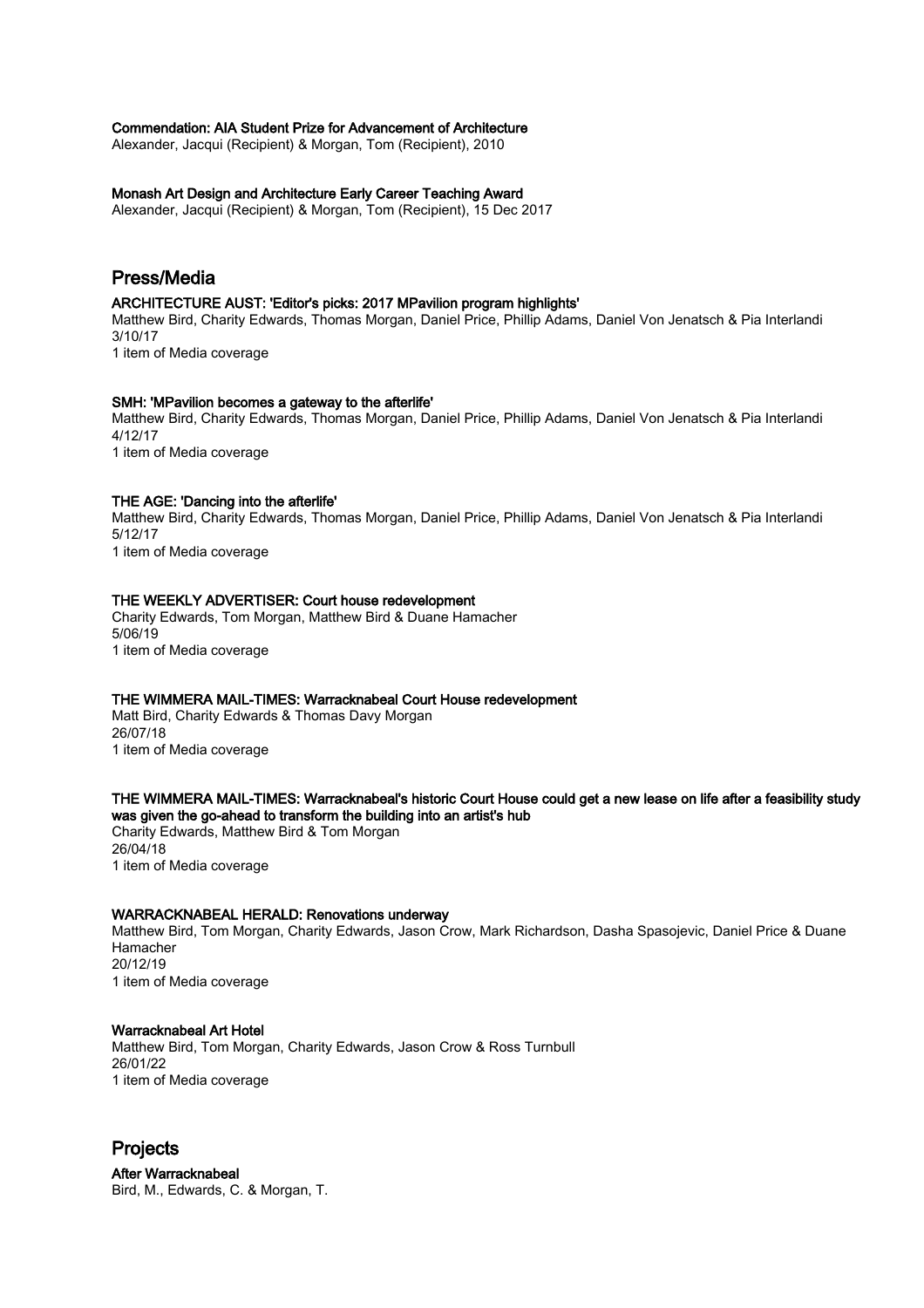#### Commendation: AIA Student Prize for Advancement of Architecture

Alexander, Jacqui (Recipient) & Morgan, Tom (Recipient), 2010

#### Monash Art Design and Architecture Early Career Teaching Award

Alexander, Jacqui (Recipient) & Morgan, Tom (Recipient), 15 Dec 2017

# Press/Media

#### ARCHITECTURE AUST: 'Editor's picks: 2017 MPavilion program highlights'

Matthew Bird, Charity Edwards, Thomas Morgan, Daniel Price, Phillip Adams, Daniel Von Jenatsch & Pia Interlandi 3/10/17

1 item of Media coverage

#### SMH: 'MPavilion becomes a gateway to the afterlife'

Matthew Bird, Charity Edwards, Thomas Morgan, Daniel Price, Phillip Adams, Daniel Von Jenatsch & Pia Interlandi 4/12/17

1 item of Media coverage

#### THE AGE: 'Dancing into the afterlife'

Matthew Bird, Charity Edwards, Thomas Morgan, Daniel Price, Phillip Adams, Daniel Von Jenatsch & Pia Interlandi 5/12/17 1 item of Media coverage

#### THE WEEKLY ADVERTISER: Court house redevelopment

Charity Edwards, Tom Morgan, Matthew Bird & Duane Hamacher 5/06/19 1 item of Media coverage

# THE WIMMERA MAIL-TIMES: Warracknabeal Court House redevelopment

Matt Bird, Charity Edwards & Thomas Davy Morgan 26/07/18 1 item of Media coverage

#### THE WIMMERA MAIL-TIMES: Warracknabeal's historic Court House could get a new lease on life after a feasibility study was given the go-ahead to transform the building into an artist's hub

Charity Edwards, Matthew Bird & Tom Morgan 26/04/18 1 item of Media coverage

#### WARRACKNABEAL HERALD: Renovations underway

Matthew Bird, Tom Morgan, Charity Edwards, Jason Crow, Mark Richardson, Dasha Spasojevic, Daniel Price & Duane Hamacher 20/12/19 1 item of Media coverage

# Warracknabeal Art Hotel

Matthew Bird, Tom Morgan, Charity Edwards, Jason Crow & Ross Turnbull 26/01/22 1 item of Media coverage

# Projects

After Warracknabeal Bird, M., Edwards, C. & Morgan, T.